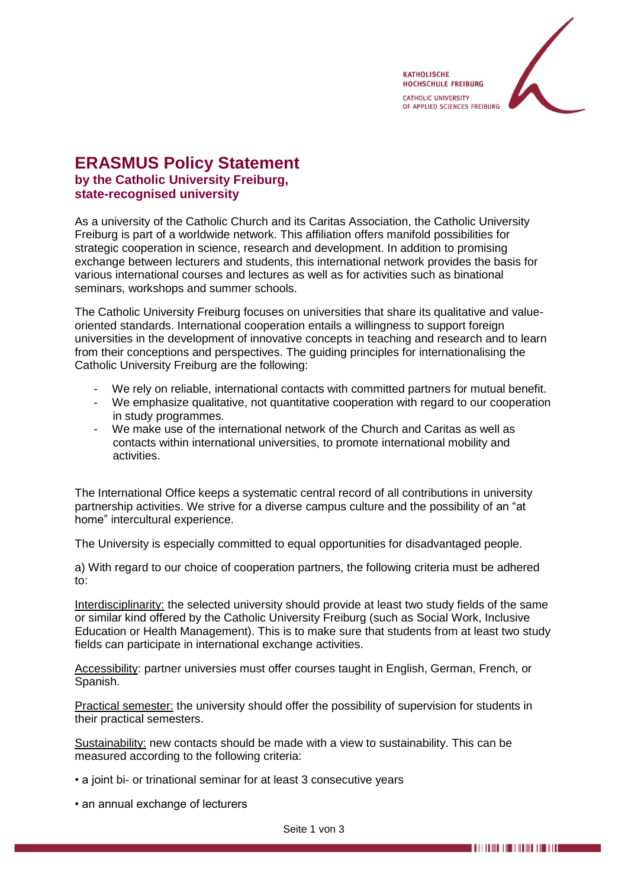

## **ERASMUS Policy Statement by the Catholic University Freiburg, state-recognised university**

As a university of the Catholic Church and its Caritas Association, the Catholic University Freiburg is part of a worldwide network. This affiliation offers manifold possibilities for strategic cooperation in science, research and development. In addition to promising exchange between lecturers and students, this international network provides the basis for various international courses and lectures as well as for activities such as binational seminars, workshops and summer schools.

The Catholic University Freiburg focuses on universities that share its qualitative and valueoriented standards. International cooperation entails a willingness to support foreign universities in the development of innovative concepts in teaching and research and to learn from their conceptions and perspectives. The guiding principles for internationalising the Catholic University Freiburg are the following:

- We rely on reliable, international contacts with committed partners for mutual benefit.
- We emphasize qualitative, not quantitative cooperation with regard to our cooperation in study programmes.
- We make use of the international network of the Church and Caritas as well as contacts within international universities, to promote international mobility and activities.

The International Office keeps a systematic central record of all contributions in university partnership activities. We strive for a diverse campus culture and the possibility of an "at home" intercultural experience.

The University is especially committed to equal opportunities for disadvantaged people.

a) With regard to our choice of cooperation partners, the following criteria must be adhered to:

Interdisciplinarity: the selected university should provide at least two study fields of the same or similar kind offered by the Catholic University Freiburg (such as Social Work, Inclusive Education or Health Management). This is to make sure that students from at least two study fields can participate in international exchange activities.

Accessibility: partner universies must offer courses taught in English, German, French, or Spanish.

Practical semester: the university should offer the possibility of supervision for students in their practical semesters.

Sustainability: new contacts should be made with a view to sustainability. This can be measured according to the following criteria:

- a joint bi- or trinational seminar for at least 3 consecutive years
- an annual exchange of lecturers

Seite 1 von 3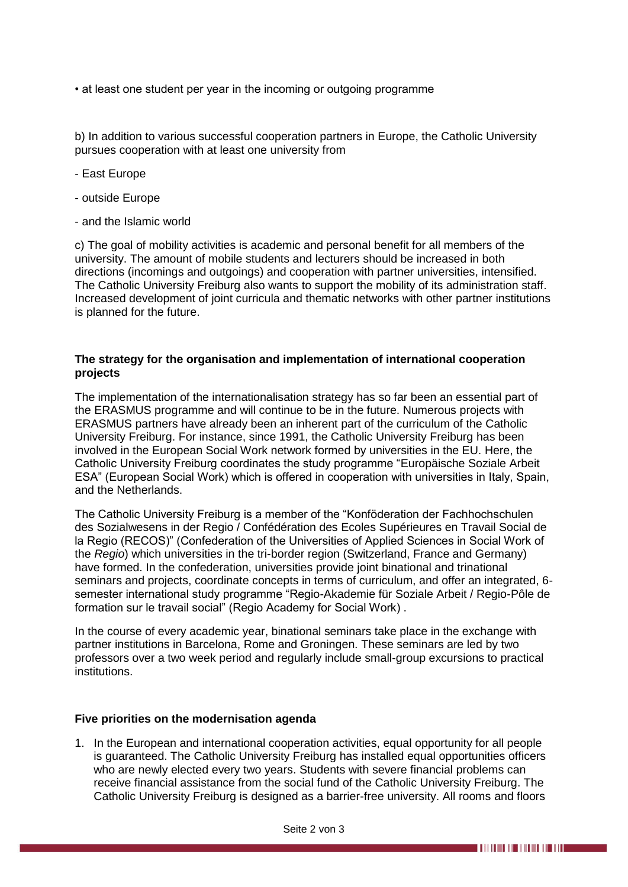• at least one student per year in the incoming or outgoing programme

b) In addition to various successful cooperation partners in Europe, the Catholic University pursues cooperation with at least one university from

- East Europe
- outside Europe
- and the Islamic world

c) The goal of mobility activities is academic and personal benefit for all members of the university. The amount of mobile students and lecturers should be increased in both directions (incomings and outgoings) and cooperation with partner universities, intensified. The Catholic University Freiburg also wants to support the mobility of its administration staff. Increased development of joint curricula and thematic networks with other partner institutions is planned for the future.

## **The strategy for the organisation and implementation of international cooperation projects**

The implementation of the internationalisation strategy has so far been an essential part of the ERASMUS programme and will continue to be in the future. Numerous projects with ERASMUS partners have already been an inherent part of the curriculum of the Catholic University Freiburg. For instance, since 1991, the Catholic University Freiburg has been involved in the European Social Work network formed by universities in the EU. Here, the Catholic University Freiburg coordinates the study programme "Europäische Soziale Arbeit ESA" (European Social Work) which is offered in cooperation with universities in Italy, Spain, and the Netherlands.

The Catholic University Freiburg is a member of the "Konföderation der Fachhochschulen des Sozialwesens in der Regio / Confédération des Ecoles Supérieures en Travail Social de la Regio (RECOS)" (Confederation of the Universities of Applied Sciences in Social Work of the *Regio*) which universities in the tri-border region (Switzerland, France and Germany) have formed. In the confederation, universities provide joint binational and trinational seminars and projects, coordinate concepts in terms of curriculum, and offer an integrated, 6 semester international study programme "Regio-Akademie für Soziale Arbeit / Regio-Pôle de formation sur le travail social" (Regio Academy for Social Work) .

In the course of every academic year, binational seminars take place in the exchange with partner institutions in Barcelona, Rome and Groningen. These seminars are led by two professors over a two week period and regularly include small-group excursions to practical institutions.

## **Five priorities on the modernisation agenda**

1. In the European and international cooperation activities, equal opportunity for all people is guaranteed. The Catholic University Freiburg has installed equal opportunities officers who are newly elected every two years. Students with severe financial problems can receive financial assistance from the social fund of the Catholic University Freiburg. The Catholic University Freiburg is designed as a barrier-free university. All rooms and floors